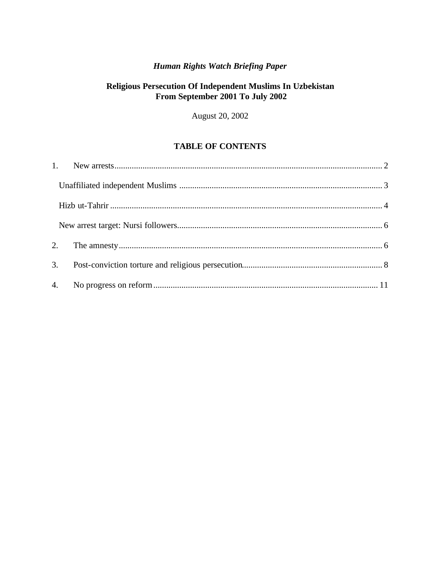# **Human Rights Watch Briefing Paper**

# Religious Persecution Of Independent Muslims In Uzbekistan From September 2001 To July 2002

August 20, 2002

# **TABLE OF CONTENTS**

| 2. |  |
|----|--|
| 3. |  |
|    |  |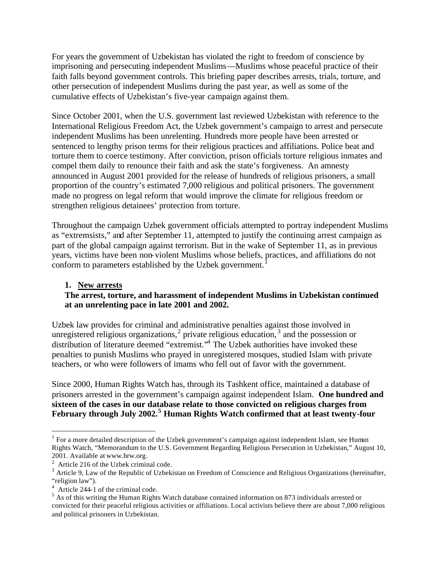For years the government of Uzbekistan has violated the right to freedom of conscience by imprisoning and persecuting independent Muslims—Muslims whose peaceful practice of their faith falls beyond government controls. This briefing paper describes arrests, trials, torture, and other persecution of independent Muslims during the past year, as well as some of the cumulative effects of Uzbekistan's five-year campaign against them.

Since October 2001, when the U.S. government last reviewed Uzbekistan with reference to the International Religious Freedom Act, the Uzbek government's campaign to arrest and persecute independent Muslims has been unrelenting. Hundreds more people have been arrested or sentenced to lengthy prison terms for their religious practices and affiliations. Police beat and torture them to coerce testimony. After conviction, prison officials torture religious inmates and compel them daily to renounce their faith and ask the state's forgiveness. An amnesty announced in August 2001 provided for the release of hundreds of religious prisoners, a small proportion of the country's estimated 7,000 religious and political prisoners. The government made no progress on legal reform that would improve the climate for religious freedom or strengthen religious detainees' protection from torture.

Throughout the campaign Uzbek government officials attempted to portray independent Muslims as "extremsists," and after September 11, attempted to justify the continuing arrest campaign as part of the global campaign against terrorism. But in the wake of September 11, as in previous years, victims have been non-violent Muslims whose beliefs, practices, and affiliations do not conform to parameters established by the Uzbek government.

## **1. New arrests**

#### **The arrest, torture, and harassment of independent Muslims in Uzbekistan continued at an unrelenting pace in late 2001 and 2002.**

Uzbek law provides for criminal and administrative penalties against those involved in unregistered religious organizations,<sup>2</sup> private religious education,<sup>3</sup> and the possession or distribution of literature deemed "extremist."<sup>4</sup> The Uzbek authorities have invoked these penalties to punish Muslims who prayed in unregistered mosques, studied Islam with private teachers, or who were followers of imams who fell out of favor with the government.

Since 2000, Human Rights Watch has, through its Tashkent office, maintained a database of prisoners arrested in the government's campaign against independent Islam. **One hundred and sixteen of the cases in our database relate to those convicted on religious charges from**  February through July 2002.<sup>5</sup> Human Rights Watch confirmed that at least twenty-four

<sup>&</sup>lt;sup>1</sup> For a more detailed description of the Uzbek government's campaign against independent Islam, see Human Rights Watch, "Memorandum to the U.S. Government Regarding Religious Persecution in Uzbekistan," August 10, 2001. Available at www.hrw.org.

 $2$  Article 216 of the Uzbek criminal code.

 $3$  Article 9, Law of the Republic of Uzbekistan on Freedom of Conscience and Religious Organizations (hereinafter, "religion law").

<sup>4</sup> Article 244-1 of the criminal code.

<sup>&</sup>lt;sup>5</sup> As of this writing the Human Rights Watch database contained information on 873 individuals arrested or convicted for their peaceful religious activities or affiliations. Local activists believe there are about 7,000 religious and political prisoners in Uzbekistan.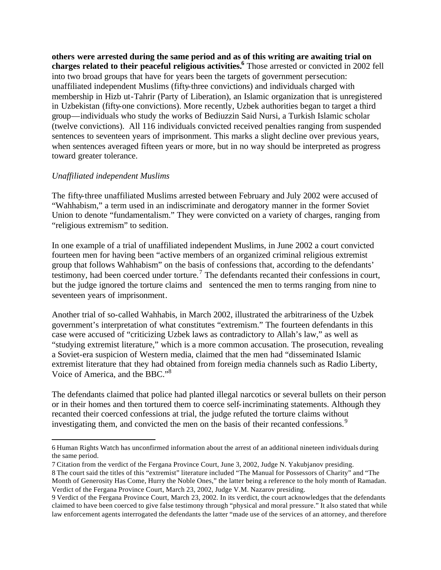**others were arrested during the same period and as of this writing are awaiting trial on charges related to their peaceful religious activities.<sup>6</sup>** Those arrested or convicted in 2002 fell into two broad groups that have for years been the targets of government persecution: unaffiliated independent Muslims (fifty-three convictions) and individuals charged with membership in Hizb ut-Tahrir (Party of Liberation), an Islamic organization that is unregistered in Uzbekistan (fifty-one convictions). More recently, Uzbek authorities began to target a third group—individuals who study the works of Bediuzzin Said Nursi, a Turkish Islamic scholar (twelve convictions). All 116 individuals convicted received penalties ranging from suspended sentences to seventeen years of imprisonment. This marks a slight decline over previous years, when sentences averaged fifteen years or more, but in no way should be interpreted as progress toward greater tolerance.

### *Unaffiliated independent Muslims*

 $\overline{a}$ 

The fifty-three unaffiliated Muslims arrested between February and July 2002 were accused of "Wahhabism," a term used in an indiscriminate and derogatory manner in the former Soviet Union to denote "fundamentalism." They were convicted on a variety of charges, ranging from "religious extremism" to sedition.

In one example of a trial of unaffiliated independent Muslims, in June 2002 a court convicted fourteen men for having been "active members of an organized criminal religious extremist group that follows Wahhabism" on the basis of confessions that, according to the defendants' testimony, had been coerced under torture.<sup>7</sup> The defendants recanted their confessions in court, but the judge ignored the torture claims and sentenced the men to terms ranging from nine to seventeen years of imprisonment.

Another trial of so-called Wahhabis, in March 2002, illustrated the arbitrariness of the Uzbek government's interpretation of what constitutes "extremism." The fourteen defendants in this case were accused of "criticizing Uzbek laws as contradictory to Allah's law," as well as "studying extremist literature," which is a more common accusation. The prosecution, revealing a Soviet-era suspicion of Western media, claimed that the men had "disseminated Islamic extremist literature that they had obtained from foreign media channels such as Radio Liberty, Voice of America, and the BBC."<sup>8</sup>

The defendants claimed that police had planted illegal narcotics or several bullets on their person or in their homes and then tortured them to coerce self-incriminating statements. Although they recanted their coerced confessions at trial, the judge refuted the torture claims without investigating them, and convicted the men on the basis of their recanted confessions.<sup>9</sup>

<sup>6</sup> Human Rights Watch has unconfirmed information about the arrest of an additional nineteen individuals during the same period.

<sup>7</sup> Citation from the verdict of the Fergana Province Court, June 3, 2002, Judge N. Yakubjanov presiding.

<sup>8</sup> The court said the titles of this "extremist" literature included "The Manual for Possessors of Charity" and "The Month of Generosity Has Come, Hurry the Noble Ones," the latter being a reference to the holy month of Ramadan. Verdict of the Fergana Province Court, March 23, 2002, Judge V.M. Nazarov presiding.

<sup>9</sup> Verdict of the Fergana Province Court, March 23, 2002. In its verdict, the court acknowledges that the defendants claimed to have been coerced to give false testimony through "physical and moral pressure." It also stated that while law enforcement agents interrogated the defendants the latter "made use of the services of an attorney, and therefore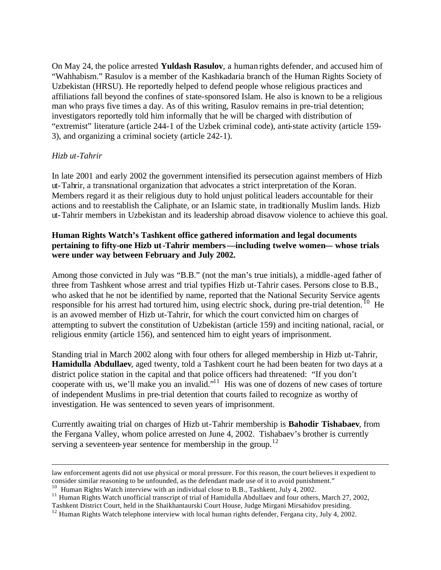On May 24, the police arrested **Yuldash Rasulov**, a human rights defender, and accused him of "Wahhabism." Rasulov is a member of the Kashkadaria branch of the Human Rights Society of Uzbekistan (HRSU). He reportedly helped to defend people whose religious practices and affiliations fall beyond the confines of state-sponsored Islam. He also is known to be a religious man who prays five times a day. As of this writing, Rasulov remains in pre-trial detention; investigators reportedly told him informally that he will be charged with distribution of "extremist" literature (article 244-1 of the Uzbek criminal code), anti-state activity (article 159- 3), and organizing a criminal society (article 242-1).

### *Hizb ut-Tahrir*

 $\overline{a}$ 

In late 2001 and early 2002 the government intensified its persecution against members of Hizb ut-Tahrir, a transnational organization that advocates a strict interpretation of the Koran. Members regard it as their religious duty to hold unjust political leaders accountable for their actions and to reestablish the Caliphate, or an Islamic state, in traditionally Muslim lands. Hizb ut-Tahrir members in Uzbekistan and its leadership abroad disavow violence to achieve this goal.

## **Human Rights Watch's Tashkent office gathered information and legal documents pertaining to fifty-one Hizb ut-Tahrir members—including twelve women— whose trials were under way between February and July 2002.**

Among those convicted in July was "B.B." (not the man's true initials), a middle-aged father of three from Tashkent whose arrest and trial typifies Hizb ut-Tahrir cases. Persons close to B.B., who asked that he not be identified by name, reported that the National Security Service agents responsible for his arrest had tortured him, using electric shock, during pre-trial detention.<sup>10</sup> He is an avowed member of Hizb ut-Tahrir, for which the court convicted him on charges of attempting to subvert the constitution of Uzbekistan (article 159) and inciting national, racial, or religious enmity (article 156), and sentenced him to eight years of imprisonment.

Standing trial in March 2002 along with four others for alleged membership in Hizb ut-Tahrir, **Hamidulla Abdullaev**, aged twenty, told a Tashkent court he had been beaten for two days at a district police station in the capital and that police officers had threatened: "If you don't cooperate with us, we'll make you an invalid."<sup>11</sup> His was one of dozens of new cases of torture of independent Muslims in pre-trial detention that courts failed to recognize as worthy of investigation. He was sentenced to seven years of imprisonment.

Currently awaiting trial on charges of Hizb ut-Tahrir membership is **Bahodir Tishabaev**, from the Fergana Valley, whom police arrested on June 4, 2002. Tishabaev's brother is currently serving a seventeen-year sentence for membership in the group.<sup>12</sup>

law enforcement agents did not use physical or moral pressure. For this reason, the court believes it expedient to consider similar reasoning to be unfounded, as the defendant made use of it to avoid punishment."

<sup>&</sup>lt;sup>10</sup> Human Rights Watch interview with an individual close to B.B., Tashkent, July 4, 2002.

 $11$  Human Rights Watch unofficial transcript of trial of Hamidulla Abdullaev and four others, March 27, 2002,

Tashkent District Court, held in the Shaikhantaurski Court House, Judge Mirgani Mirsahidov presiding.

<sup>&</sup>lt;sup>12</sup> Human Rights Watch telephone interview with local human rights defender, Fergana city, July 4, 2002.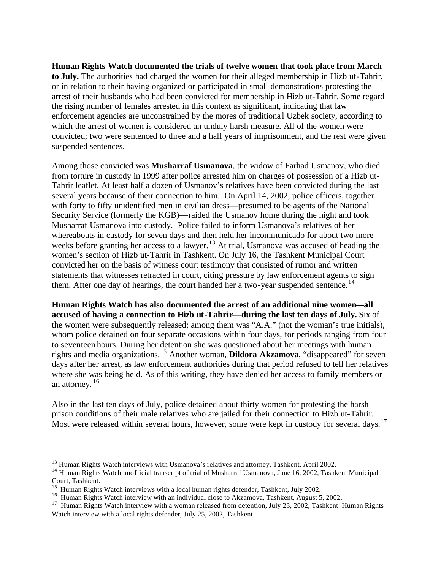**Human Rights Watch documented the trials of twelve women that took place from March to July.** The authorities had charged the women for their alleged membership in Hizb ut-Tahrir, or in relation to their having organized or participated in small demonstrations protesting the arrest of their husbands who had been convicted for membership in Hizb ut-Tahrir. Some regard the rising number of females arrested in this context as significant, indicating that law enforcement agencies are unconstrained by the mores of traditiona l Uzbek society, according to which the arrest of women is considered an unduly harsh measure. All of the women were convicted; two were sentenced to three and a half years of imprisonment, and the rest were given suspended sentences.

Among those convicted was **Musharraf Usmanova**, the widow of Farhad Usmanov, who died from torture in custody in 1999 after police arrested him on charges of possession of a Hizb ut-Tahrir leaflet. At least half a dozen of Usmanov's relatives have been convicted during the last several years because of their connection to him. On April 14, 2002, police officers, together with forty to fifty unidentified men in civilian dress—presumed to be agents of the National Security Service (formerly the KGB)—raided the Usmanov home during the night and took Musharraf Usmanova into custody. Police failed to inform Usmanova's relatives of her whereabouts in custody for seven days and then held her incommunicado for about two more weeks before granting her access to a lawyer.<sup>13</sup> At trial, Usmanova was accused of heading the women's section of Hizb ut-Tahrir in Tashkent. On July 16, the Tashkent Municipal Court convicted her on the basis of witness court testimony that consisted of rumor and written statements that witnesses retracted in court, citing pressure by law enforcement agents to sign them. After one day of hearings, the court handed her a two-year suspended sentence.<sup>14</sup>

**Human Rights Watch has also documented the arrest of an additional nine women—all accused of having a connection to Hizb ut-Tahrir—during the last ten days of July.** Six of the women were subsequently released; among them was "A.A." (not the woman's true initials), whom police detained on four separate occasions within four days, for periods ranging from four to seventeen hours. During her detention she was questioned about her meetings with human rights and media organizations.<sup>15</sup> Another woman, **Dildora Akzamova**, "disappeared" for seven days after her arrest, as law enforcement authorities during that period refused to tell her relatives where she was being held. As of this writing, they have denied her access to family members or an attorney.  $16$ 

Also in the last ten days of July, police detained about thirty women for protesting the harsh prison conditions of their male relatives who are jailed for their connection to Hizb ut-Tahrir. Most were released within several hours, however, some were kept in custody for several days.<sup>17</sup>

<sup>&</sup>lt;sup>13</sup> Human Rights Watch interviews with Usmanova's relatives and attorney, Tashkent, April 2002.

<sup>&</sup>lt;sup>14</sup> Human Rights Watch unofficial transcript of trial of Musharraf Usmanova, June 16, 2002, Tashkent Municipal Court, Tashkent.

<sup>&</sup>lt;sup>15</sup> Human Rights Watch interviews with a local human rights defender, Tashkent, July 2002.

<sup>&</sup>lt;sup>16</sup> Human Rights Watch interview with an individual close to Akzamova, Tashkent, August 5, 2002.

<sup>&</sup>lt;sup>17</sup> Human Rights Watch interview with a woman released from detention, July 23, 2002, Tashkent. Human Rights Watch interview with a local rights defender, July 25, 2002, Tashkent.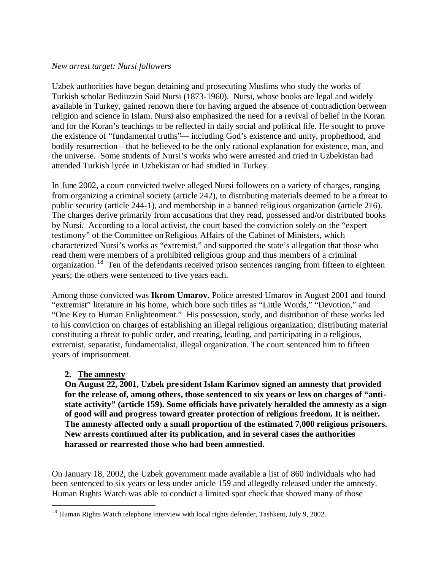#### *New arrest target: Nursi followers*

Uzbek authorities have begun detaining and prosecuting Muslims who study the works of Turkish scholar Bediuzzin Said Nursi (1873-1960). Nursi, whose books are legal and widely available in Turkey, gained renown there for having argued the absence of contradiction between religion and science in Islam. Nursi also emphasized the need for a revival of belief in the Koran and for the Koran's teachings to be reflected in daily social and political life. He sought to prove the existence of "fundamental truths"— including God's existence and unity, prophethood, and bodily resurrection—that he believed to be the only rational explanation for existence, man, and the universe. Some students of Nursi's works who were arrested and tried in Uzbekistan had attended Turkish lycée in Uzbekistan or had studied in Turkey.

In June 2002, a court convicted twelve alleged Nursi followers on a variety of charges, ranging from organizing a criminal society (article 242), to distributing materials deemed to be a threat to public security (article 244-1), and membership in a banned religious organization (article 216). The charges derive primarily from accusations that they read, possessed and/or distributed books by Nursi. According to a local activist, the court based the conviction solely on the "expert testimony" of the Committee on Religious Affairs of the Cabinet of Ministers, which characterized Nursi's works as "extremist," and supported the state's allegation that those who read them were members of a prohibited religious group and thus members of a criminal organization. <sup>18</sup> Ten of the defendants received prison sentences ranging from fifteen to eighteen years; the others were sentenced to five years each.

Among those convicted was **Ikrom Umarov**. Police arrested Umarov in August 2001 and found "extremist" literature in his home, which bore such titles as "Little Words," "Devotion," and "One Key to Human Enlightenment." His possession, study, and distribution of these works led to his conviction on charges of establishing an illegal religious organization, distributing material constituting a threat to public order, and creating, leading, and participating in a religious, extremist, separatist, fundamentalist, illegal organization. The court sentenced him to fifteen years of imprisonment.

## **2. The amnesty**

 $\overline{a}$ 

**On August 22, 2001, Uzbek pre sident Islam Karimov signed an amnesty that provided for the release of, among others, those sentenced to six years or less on charges of "antistate activity" (article 159). Some officials have privately heralded the amnesty as a sign of good will and progress toward greater protection of religious freedom. It is neither. The amnesty affected only a small proportion of the estimated 7,000 religious prisoners. New arrests continued after its publication, and in several cases the authorities harassed or rearrested those who had been amnestied.** 

On January 18, 2002, the Uzbek government made available a list of 860 individuals who had been sentenced to six years or less under article 159 and allegedly released under the amnesty. Human Rights Watch was able to conduct a limited spot check that showed many of those

<sup>&</sup>lt;sup>18</sup> Human Rights Watch telephone interview with local rights defender, Tashkent, July 9, 2002.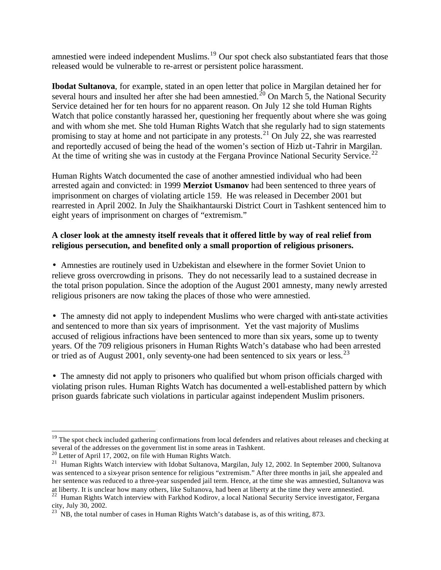amnestied were indeed independent Muslims.<sup>19</sup> Our spot check also substantiated fears that those released would be vulnerable to re-arrest or persistent police harassment.

**Ibodat Sultanova**, for example, stated in an open letter that police in Margilan detained her for several hours and insulted her after she had been amnestied.<sup>20</sup> On March 5, the National Security Service detained her for ten hours for no apparent reason. On July 12 she told Human Rights Watch that police constantly harassed her, questioning her frequently about where she was going and with whom she met. She told Human Rights Watch that she regularly had to sign statements promising to stay at home and not participate in any protests.<sup>21</sup> On July 22, she was rearrested and reportedly accused of being the head of the women's section of Hizb ut-Tahrir in Margilan. At the time of writing she was in custody at the Fergana Province National Security Service.<sup>22</sup>

Human Rights Watch documented the case of another amnestied individual who had been arrested again and convicted: in 1999 **Merziot Usmanov** had been sentenced to three years of imprisonment on charges of violating article 159. He was released in December 2001 but rearrested in April 2002. In July the Shaikhantaurski District Court in Tashkent sentenced him to eight years of imprisonment on charges of "extremism."

## **A closer look at the amnesty itself reveals that it offered little by way of real relief from religious persecution, and benefited only a small proportion of religious prisoners.**

• Amnesties are routinely used in Uzbekistan and elsewhere in the former Soviet Union to relieve gross overcrowding in prisons. They do not necessarily lead to a sustained decrease in the total prison population. Since the adoption of the August 2001 amnesty, many newly arrested religious prisoners are now taking the places of those who were amnestied.

• The amnesty did not apply to independent Muslims who were charged with anti-state activities and sentenced to more than six years of imprisonment. Yet the vast majority of Muslims accused of religious infractions have been sentenced to more than six years, some up to twenty years. Of the 709 religious prisoners in Human Rights Watch's database who had been arrested or tried as of August 2001, only seventy-one had been sentenced to six years or less.<sup>23</sup>

• The amnesty did not apply to prisoners who qualified but whom prison officials charged with violating prison rules. Human Rights Watch has documented a well-established pattern by which prison guards fabricate such violations in particular against independent Muslim prisoners.

 $19$  The spot check included gathering confirmations from local defenders and relatives about releases and checking at several of the addresses on the government list in some areas in Tashkent.

 $20$  Letter of April 17, 2002, on file with Human Rights Watch.

<sup>&</sup>lt;sup>21</sup> Human Rights Watch interview with Idobat Sultanova, Margilan, July 12, 2002. In September 2000, Sultanova was sentenced to a six-year prison sentence for religious "extremism." After three months in jail, she appealed and her sentence was reduced to a three-year suspended jail term. Hence, at the time she was amnestied, Sultanova was at liberty. It is unclear how many others, like Sultanova, had been at liberty at the time they were amnestied.

<sup>&</sup>lt;sup>22</sup> Human Rights Watch interview with Farkhod Kodirov, a local National Security Service investigator, Fergana city, July 30, 2002.

 $^{23}$  NB, the total number of cases in Human Rights Watch's database is, as of this writing, 873.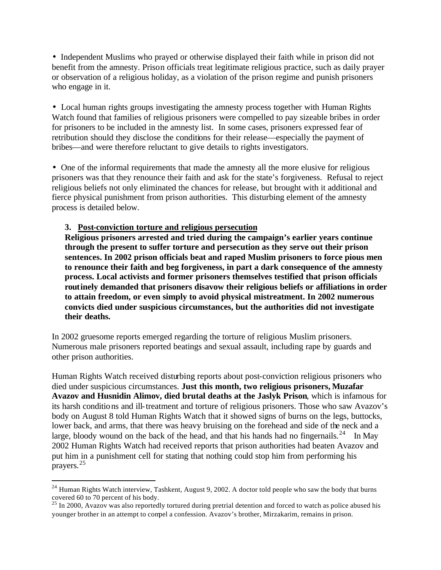• Independent Muslims who prayed or otherwise displayed their faith while in prison did not benefit from the amnesty. Prison officials treat legitimate religious practice, such as daily prayer or observation of a religious holiday, as a violation of the prison regime and punish prisoners who engage in it.

• Local human rights groups investigating the amnesty process together with Human Rights Watch found that families of religious prisoners were compelled to pay sizeable bribes in order for prisoners to be included in the amnesty list. In some cases, prisoners expressed fear of retribution should they disclose the conditions for their release—especially the payment of bribes—and were therefore reluctant to give details to rights investigators.

• One of the informal requirements that made the amnesty all the more elusive for religious prisoners was that they renounce their faith and ask for the state's forgiveness. Refusal to reject religious beliefs not only eliminated the chances for release, but brought with it additional and fierce physical punishment from prison authorities. This disturbing element of the amnesty process is detailed below.

### **3. Post-conviction torture and religious persecution**

 $\overline{a}$ 

**Religious prisoners arrested and tried during the campaign's earlier years continue through the present to suffer torture and persecution as they serve out their prison sentences. In 2002 prison officials beat and raped Muslim prisoners to force pious men to renounce their faith and beg forgiveness, in part a dark consequence of the amnesty process. Local activists and former prisoners themselves testified that prison officials routinely demanded that prisoners disavow their religious beliefs or affiliations in order to attain freedom, or even simply to avoid physical mistreatment. In 2002 numerous convicts died under suspicious circumstances, but the authorities did not investigate their deaths.** 

In 2002 gruesome reports emerged regarding the torture of religious Muslim prisoners. Numerous male prisoners reported beatings and sexual assault, including rape by guards and other prison authorities.

Human Rights Watch received disturbing reports about post-conviction religious prisoners who died under suspicious circumstances. **Just this month, two religious prisoners, Muzafar Avazov and Husnidin Alimov, died brutal deaths at the Jaslyk Prison**, which is infamous for its harsh conditions and ill-treatment and torture of religious prisoners. Those who saw Avazov's body on August 8 told Human Rights Watch that it showed signs of burns on the legs, buttocks, lower back, and arms, that there was heavy bruising on the forehead and side of the neck and a large, bloody wound on the back of the head, and that his hands had no fingernails.<sup>24</sup> In May 2002 Human Rights Watch had received reports that prison authorities had beaten Avazov and put him in a punishment cell for stating that nothing could stop him from performing his prayers.<sup>25</sup>

<sup>&</sup>lt;sup>24</sup> Human Rights Watch interview, Tashkent, August 9, 2002. A doctor told people who saw the body that burns covered 60 to 70 percent of his body.

 $^{25}$  In 2000, Avazov was also reportedly tortured during pretrial detention and forced to watch as police abused his younger brother in an attempt to compel a confession. Avazov's brother, Mirzakarim, remains in prison.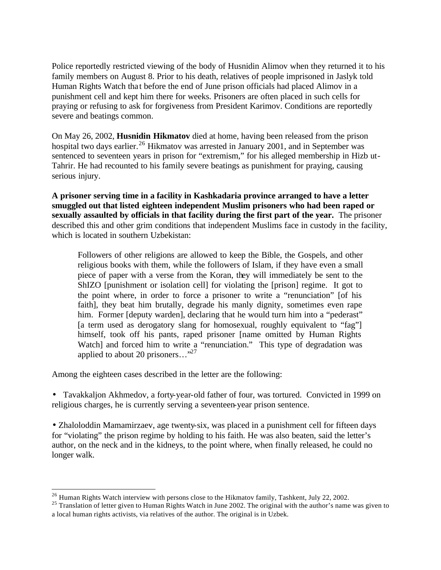Police reportedly restricted viewing of the body of Husnidin Alimov when they returned it to his family members on August 8. Prior to his death, relatives of people imprisoned in Jaslyk told Human Rights Watch tha t before the end of June prison officials had placed Alimov in a punishment cell and kept him there for weeks. Prisoners are often placed in such cells for praying or refusing to ask for forgiveness from President Karimov. Conditions are reportedly severe and beatings common.

On May 26, 2002, **Husnidin Hikmatov** died at home, having been released from the prison hospital two days earlier.<sup>26</sup> Hikmatov was arrested in January 2001, and in September was sentenced to seventeen years in prison for "extremism," for his alleged membership in Hizb ut-Tahrir. He had recounted to his family severe beatings as punishment for praying, causing serious injury.

**A prisoner serving time in a facility in Kashkadaria province arranged to have a letter smuggled out that listed eighteen independent Muslim prisoners who had been raped or sexually assaulted by officials in that facility during the first part of the year.** The prisoner described this and other grim conditions that independent Muslims face in custody in the facility, which is located in southern Uzbekistan:

Followers of other religions are allowed to keep the Bible, the Gospels, and other religious books with them, while the followers of Islam, if they have even a small piece of paper with a verse from the Koran, they will immediately be sent to the ShIZO [punishment or isolation cell] for violating the [prison] regime. It got to the point where, in order to force a prisoner to write a "renunciation" [of his faith], they beat him brutally, degrade his manly dignity, sometimes even rape him. Former [deputy warden], declaring that he would turn him into a "pederast" [a term used as derogatory slang for homosexual, roughly equivalent to "fag"] himself, took off his pants, raped prisoner [name omitted by Human Rights Watch] and forced him to write a "renunciation." This type of degradation was applied to about 20 prisoners..."<sup>27</sup>

Among the eighteen cases described in the letter are the following:

 $\overline{a}$ 

• Tavakkaljon Akhmedov, a forty-year-old father of four, was tortured. Convicted in 1999 on religious charges, he is currently serving a seventeen-year prison sentence.

• Zhaloloddin Mamamirzaev, age twenty-six, was placed in a punishment cell for fifteen days for "violating" the prison regime by holding to his faith. He was also beaten, said the letter's author, on the neck and in the kidneys, to the point where, when finally released, he could no longer walk.

 $^{26}$  Human Rights Watch interview with persons close to the Hikmatov family, Tashkent, July 22, 2002.

<sup>&</sup>lt;sup>25</sup> Translation of letter given to Human Rights Watch in June 2002. The original with the author's name was given to a local human rights activists, via relatives of the author. The original is in Uzbek.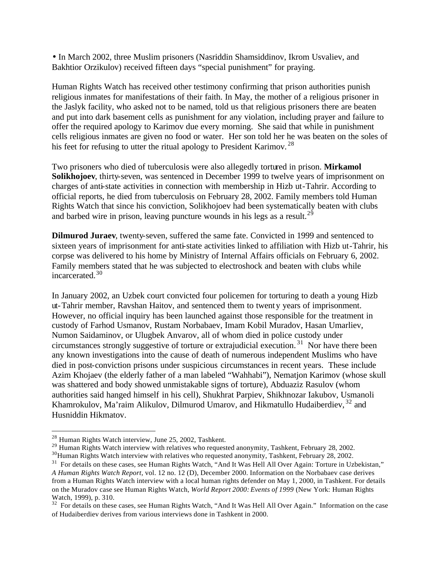• In March 2002, three Muslim prisoners (Nasriddin Shamsiddinov, Ikrom Usvaliev, and Bakhtior Orzikulov) received fifteen days "special punishment" for praying.

Human Rights Watch has received other testimony confirming that prison authorities punish religious inmates for manifestations of their faith. In May, the mother of a religious prisoner in the Jaslyk facility, who asked not to be named, told us that religious prisoners there are beaten and put into dark basement cells as punishment for any violation, including prayer and failure to offer the required apology to Karimov due every morning. She said that while in punishment cells religious inmates are given no food or water. Her son told her he was beaten on the soles of his feet for refusing to utter the ritual apology to President Karimov.<sup>28</sup>

Two prisoners who died of tuberculosis were also allegedly tortured in prison. **Mirkamol Solikhojoev**, thirty-seven, was sentenced in December 1999 to twelve years of imprisonment on charges of anti-state activities in connection with membership in Hizb ut-Tahrir. According to official reports, he died from tuberculosis on February 28, 2002. Family members told Human Rights Watch that since his conviction, Solikhojoev had been systematically beaten with clubs and barbed wire in prison, leaving puncture wounds in his legs as a result.<sup>29</sup>

**Dilmurod Juraev**, twenty-seven, suffered the same fate. Convicted in 1999 and sentenced to sixteen years of imprisonment for anti-state activities linked to affiliation with Hizb ut-Tahrir, his corpse was delivered to his home by Ministry of Internal Affairs officials on February 6, 2002. Family members stated that he was subjected to electroshock and beaten with clubs while incarcerated.<sup>30</sup>

In January 2002, an Uzbek court convicted four policemen for torturing to death a young Hizb ut-Tahrir member, Ravshan Haitov, and sentenced them to twenty years of imprisonment. However, no official inquiry has been launched against those responsible for the treatment in custody of Farhod Usmanov, Rustam Norbabaev, Imam Kobil Muradov, Hasan Umarliev, Numon Saidaminov, or Ulugbek Anvarov, all of whom died in police custody under circumstances strongly suggestive of torture or extrajudicial execution. <sup>31</sup> Nor have there been any known investigations into the cause of death of numerous independent Muslims who have died in post-conviction prisons under suspicious circumstances in recent years. These include Azim Khojaev (the elderly father of a man labeled "Wahhabi"), Nematjon Karimov (whose skull was shattered and body showed unmistakable signs of torture), Abduaziz Rasulov (whom authorities said hanged himself in his cell), Shukhrat Parpiev, Shikhnozar Iakubov, Usmanoli Khamrokulov, Ma'raim Alikulov, Dilmurod Umarov, and Hikmatullo Hudaiberdiev, <sup>32</sup> and Husniddin Hikmatov.

<sup>28</sup> Human Rights Watch interview, June 25, 2002, Tashkent.

<sup>&</sup>lt;sup>29</sup> Human Rights Watch interview with relatives who requested anonymity, Tashkent, February 28, 2002.

<sup>&</sup>lt;sup>30</sup>Human Rights Watch interview with relatives who requested anonymity, Tashkent, February 28, 2002.

<sup>&</sup>lt;sup>31</sup> For details on these cases, see Human Rights Watch, "And It Was Hell All Over Again: Torture in Uzbekistan," *A Human Rights Watch Report*, vol. 12 no. 12 (D), December 2000. Information on the Norbabaev case derives from a Human Rights Watch interview with a local human rights defender on May 1, 2000, in Tashkent. For details on the Muradov case see Human Rights Watch, *World Report 2000: Events of 1999* (New York: Human Rights Watch, 1999), p. 310.

<sup>&</sup>lt;sup>32</sup> For details on these cases, see Human Rights Watch, "And It Was Hell All Over Again." Information on the case of Hudaiberdiev derives from various interviews done in Tashkent in 2000.